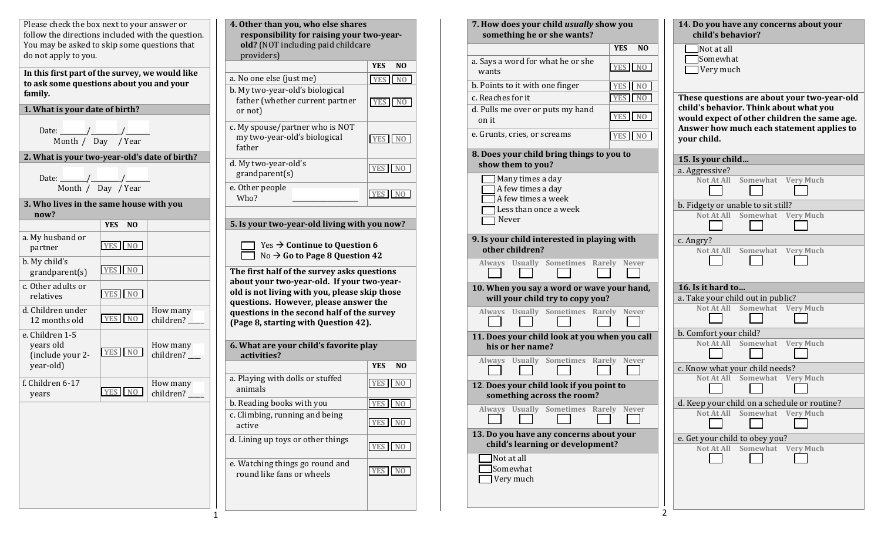| Please check the box next to your answer or<br>follow the directions included with the question.<br>You may be asked to skip some questions that |                              | 4. Other than you, who else shares<br>responsibility for raising your two-year-<br>old? (NOT including paid childcare |                                                                                                                                      |                              |
|--------------------------------------------------------------------------------------------------------------------------------------------------|------------------------------|-----------------------------------------------------------------------------------------------------------------------|--------------------------------------------------------------------------------------------------------------------------------------|------------------------------|
| do not apply to you.                                                                                                                             |                              |                                                                                                                       | providers)                                                                                                                           |                              |
| In this first part of the survey, we would like                                                                                                  |                              |                                                                                                                       |                                                                                                                                      | <b>YES</b><br>N <sub>O</sub> |
| to ask some questions about you and your                                                                                                         |                              |                                                                                                                       | a. No one else (just me)                                                                                                             | <b>YES</b><br>N <sub>O</sub> |
| family.                                                                                                                                          |                              |                                                                                                                       | b. My two-year-old's biological<br>father (whether current partner                                                                   | YES NO                       |
| 1. What is your date of birth?                                                                                                                   |                              |                                                                                                                       | or not)                                                                                                                              |                              |
| Date: // /// Day // Year                                                                                                                         |                              |                                                                                                                       | c. My spouse/partner who is NOT<br>my two-year-old's biological<br>father                                                            | YES NO                       |
| 2. What is your two-year-old's date of birth?                                                                                                    |                              |                                                                                                                       | d. My two-year-old's                                                                                                                 |                              |
| Date: $\frac{1}{\sqrt{1-\frac{1}{2}}}\sqrt{1-\frac{1}{2}}$                                                                                       |                              |                                                                                                                       | grandparent(s)                                                                                                                       | YES NO                       |
|                                                                                                                                                  | Month / Day / Year           |                                                                                                                       | e. Other people                                                                                                                      |                              |
|                                                                                                                                                  |                              |                                                                                                                       | Who?                                                                                                                                 | N <sub>0</sub><br><b>YES</b> |
| 3. Who lives in the same house with you<br>now?                                                                                                  |                              |                                                                                                                       |                                                                                                                                      |                              |
|                                                                                                                                                  | <b>YES</b><br>N <sub>O</sub> |                                                                                                                       | 5. Is your two-year-old living with you now?                                                                                         |                              |
| a. My husband or<br>partner                                                                                                                      | YES NO                       |                                                                                                                       | Yes $\rightarrow$ Continue to Question 6<br>No $\rightarrow$ Go to Page 8 Question 42                                                |                              |
| b. My child's<br>grandparent(s)                                                                                                                  | YES NO                       |                                                                                                                       | The first half of the survey asks questions                                                                                          |                              |
| c. Other adults or<br>relatives                                                                                                                  | YES NO                       |                                                                                                                       | about your two-year-old. If your two-year-<br>old is not living with you, please skip those<br>questions. However, please answer the |                              |
| d. Children under<br>12 months old                                                                                                               | YES NO                       | How many<br>children?                                                                                                 | questions in the second half of the survey<br>(Page 8, starting with Question 42).                                                   |                              |
| e. Children 1-5<br>years old<br>(include your 2-                                                                                                 | YES NO                       | How many<br>children?_                                                                                                | 6. What are your child's favorite play<br>activities?                                                                                |                              |
| year-old)                                                                                                                                        |                              |                                                                                                                       |                                                                                                                                      | <b>YES</b><br>N <sub>O</sub> |
| f. Children 6-17<br>years                                                                                                                        | <b>YES</b><br>N <sub>0</sub> | How many<br>children?                                                                                                 | a. Playing with dolls or stuffed<br>animals                                                                                          | <b>YES</b><br>N <sub>O</sub> |
|                                                                                                                                                  |                              |                                                                                                                       | b. Reading books with you                                                                                                            | YES NO                       |
|                                                                                                                                                  |                              |                                                                                                                       | c. Climbing, running and being<br>active                                                                                             | <b>YES</b><br>N <sub>O</sub> |
|                                                                                                                                                  |                              |                                                                                                                       | d. Lining up toys or other things                                                                                                    | YES NO                       |
|                                                                                                                                                  |                              |                                                                                                                       | e. Watching things go round and<br>round like fans or wheels                                                                         | YES NO                       |
|                                                                                                                                                  |                              |                                                                                                                       |                                                                                                                                      |                              |

**YES NO**

**YES NO**

**YES NO** 

**YES NO**

**YES NO**

**YES NO**

**YES NO** 

**YES NO**

**YES NO**

**YES NO**

| 7. How does your child usually show you<br>something he or she wants?       |                              | 14. Do you have any concerns about your<br>child's behavior?                           |  |  |
|-----------------------------------------------------------------------------|------------------------------|----------------------------------------------------------------------------------------|--|--|
|                                                                             | <b>YES</b><br>N <sub>0</sub> | Not at all                                                                             |  |  |
| a. Says a word for what he or she<br>wants                                  | <b>YES</b><br>N <sub>O</sub> | Somewhat<br>Very much                                                                  |  |  |
| b. Points to it with one finger                                             | <b>YES</b><br>N <sub>0</sub> |                                                                                        |  |  |
| c. Reaches for it                                                           | YES NO                       | These questions are about your two-year-old                                            |  |  |
| d. Pulls me over or puts my hand<br>on it                                   | YES NO                       | child's behavior. Think about what you<br>would expect of other children the same age. |  |  |
| e. Grunts, cries, or screams                                                | <b>YES</b><br>N <sub>O</sub> | Answer how much each statement applies to<br>your child.                               |  |  |
| 8. Does your child bring things to you to                                   |                              | 15. Is your child                                                                      |  |  |
| show them to you?                                                           |                              | a. Aggressive?                                                                         |  |  |
| Many times a day<br>A few times a day<br>A few times a week                 |                              | Not At All<br>Somewhat<br><b>Very Much</b>                                             |  |  |
| Less than once a week                                                       |                              | b. Fidgety or unable to sit still?                                                     |  |  |
| Never                                                                       |                              | Somewhat<br>Not At All<br><b>Very Much</b>                                             |  |  |
| 9. Is your child interested in playing with                                 |                              | c. Angry?                                                                              |  |  |
| other children?                                                             |                              | Not At All<br>Somewhat Very Much                                                       |  |  |
| Always Usually Sometimes Rarely Never                                       |                              |                                                                                        |  |  |
| 10. When you say a word or wave your hand,                                  |                              | 16. Is it hard to                                                                      |  |  |
| will your child try to copy you?                                            |                              | a. Take your child out in public?                                                      |  |  |
| Always Usually Sometimes Rarely Never                                       |                              | Not At All<br>Somewhat Very Much                                                       |  |  |
| 11. Does your child look at you when you call                               |                              | b. Comfort your child?                                                                 |  |  |
| his or her name?<br>Always Usually Sometimes Rarely Never                   |                              | Somewhat Very Much<br>Not At All                                                       |  |  |
|                                                                             |                              | c. Know what your child needs?                                                         |  |  |
| 12. Does your child look if you point to<br>something across the room?      |                              | Not At All<br>Somewhat<br><b>Very Much</b>                                             |  |  |
| Always Usually Sometimes Rarely Never                                       |                              | d. Keep your child on a schedule or routine?                                           |  |  |
|                                                                             |                              | Somewhat Very Much<br><b>Not At All</b>                                                |  |  |
| 13. Do you have any concerns about your<br>child's learning or development? |                              | e. Get your child to obey you?                                                         |  |  |
| Not at all<br>Somewhat                                                      |                              | Somewhat Very Much<br>Not At All                                                       |  |  |
| Very much                                                                   |                              |                                                                                        |  |  |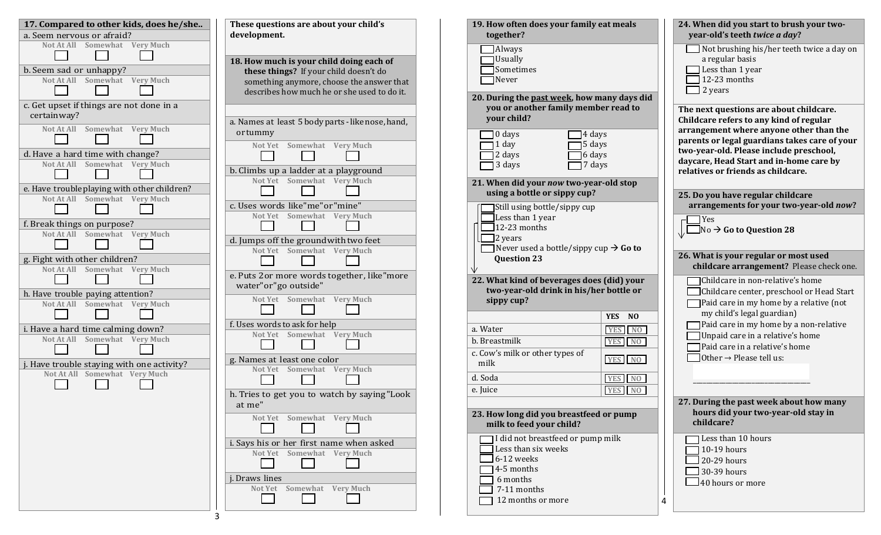| 17. Compared to other kids, does he/she<br>a. Seem nervous or afraid?                                                                                                                                                   | These questions are about your child's<br>development.                                                                                                                                                                       | 19. How often does your family eat meals<br>together?                                                                                                                                                                                    | 24. When did you start to brush your two-<br>year-old's teeth twice a day?                                                                                                                                                                                                                                                  |
|-------------------------------------------------------------------------------------------------------------------------------------------------------------------------------------------------------------------------|------------------------------------------------------------------------------------------------------------------------------------------------------------------------------------------------------------------------------|------------------------------------------------------------------------------------------------------------------------------------------------------------------------------------------------------------------------------------------|-----------------------------------------------------------------------------------------------------------------------------------------------------------------------------------------------------------------------------------------------------------------------------------------------------------------------------|
| Not At All Somewhat Very Much<br>b. Seem sad or unhappy?<br>Not At All Somewhat Very Much<br>c. Get upset if things are not done in a                                                                                   | 18. How much is your child doing each of<br>these things? If your child doesn't do<br>something anymore, choose the answer that<br>describes how much he or she used to do it.                                               | <b>TAlways</b><br>Usually<br>Sometimes<br>$\Box$ Never<br>20. During the past week, how many days did<br>you or another family member read to                                                                                            | $\Box$ Not brushing his/her teeth twice a day on<br>a regular basis<br>Less than 1 year<br>12-23 months<br>$\Box$ 2 years<br>The next questions are about childcare.                                                                                                                                                        |
| certain way?<br>Not At All Somewhat Very Much<br>d. Have a hard time with change?<br>Not At All Somewhat Very Much<br>e. Have trouble playing with other children?                                                      | a. Names at least 5 body parts - like nose, hand,<br>ortummy<br>Somewhat Very Much<br>Not Yet<br>b. Climbs up a ladder at a playground<br>Not Yet Somewhat Very Much                                                         | your child?<br>$\Box$ 4 days<br>$\Box$ 0 days<br>$\Box$ 1 day<br>$\Box$ 5 days<br>$\Box$ 6 days<br>$\Box$ 2 days<br>$\Box$ 3 days<br>$\Box$ 7 days<br>21. When did your now two-year-old stop<br>using a bottle or sippy cup?            | Childcare refers to any kind of regular<br>arrangement where anyone other than the<br>parents or legal guardians takes care of your<br>two-year-old. Please include preschool,<br>daycare, Head Start and in-home care by<br>relatives or friends as childcare.<br>25. Do you have regular childcare                        |
| Not At All Somewhat Very Much<br>f. Break things on purpose?<br>Not At All Somewhat Very Much<br>g. Fight with other children?<br>Not At All Somewhat<br><b>Very Much</b>                                               | c. Uses words like"me"or"mine"<br>Not Yet Somewhat Very Much<br>d. Jumps off the ground with two feet<br>Not Yet Somewhat Very Much                                                                                          | Still using bottle/sippy cup<br>Less than 1 year<br>$\Box$ 12-23 months<br>$\Box$ 2 years<br>Never used a bottle/sippy cup $\rightarrow$ Go to<br><b>Question 23</b>                                                                     | arrangements for your two-year-old now?<br><b>Yes</b><br>$\Box$ No $\rightarrow$ Go to Question 28<br>26. What is your regular or most used<br>childcare arrangement? Please check one.                                                                                                                                     |
| h. Have trouble paying attention?<br>Not At All Somewhat Very Much<br>i. Have a hard time calming down?<br>Not At All Somewhat Very Much<br>j. Have trouble staying with one activity?<br>Not At All Somewhat Very Much | e. Puts 2or more words together, like"more<br>water"or"go outside"<br>Not Yet Somewhat Very Much<br>f. Uses words to ask for help<br>Not Yet Somewhat Very Much<br>g. Names at least one color<br>Not Yet Somewhat Very Much | 22. What kind of beverages does (did) your<br>two-year-old drink in his/her bottle or<br>sippy cup?<br>YES NO<br>a. Water<br>YES NO<br>YES NO<br>b. Breastmilk<br>c. Cow's milk or other types of<br>YES NO<br>milk<br>YES NO<br>d. Soda | Childcare in non-relative's home<br>Childcare center, preschool or Head Start<br>$\Box$ Paid care in my home by a relative (not<br>my child's legal guardian)<br>Paid care in my home by a non-relative<br>Unpaid care in a relative's home<br>Paid care in a relative's home<br>$\Box$ Other $\rightarrow$ Please tell us: |
|                                                                                                                                                                                                                         | h. Tries to get you to watch by saying "Look<br>at me"<br>Not Yet Somewhat Very Much<br>$\blacksquare$                                                                                                                       | YES NO<br>e. Juice<br>23. How long did you breastfeed or pump<br>milk to feed your child?                                                                                                                                                | 27. During the past week about how many<br>hours did your two-year-old stay in<br>childcare?                                                                                                                                                                                                                                |
|                                                                                                                                                                                                                         | i. Says his or her first name when asked<br>Not Yet Somewhat Very Much<br>j. Draws lines<br>Not Yet Somewhat Very Much<br><b>College</b>                                                                                     | I did not breastfeed or pump milk<br>Less than six weeks<br>$\Box$ 6-12 weeks<br>$\Box$ 4-5 months<br>6 months<br>7-11 months<br>12 months or more                                                                                       | Less than 10 hours<br>$\Box$ 10-19 hours<br>$\Box$ 20-29 hours<br>$\Box$ 30-39 hours<br>$\Box$ 40 hours or more                                                                                                                                                                                                             |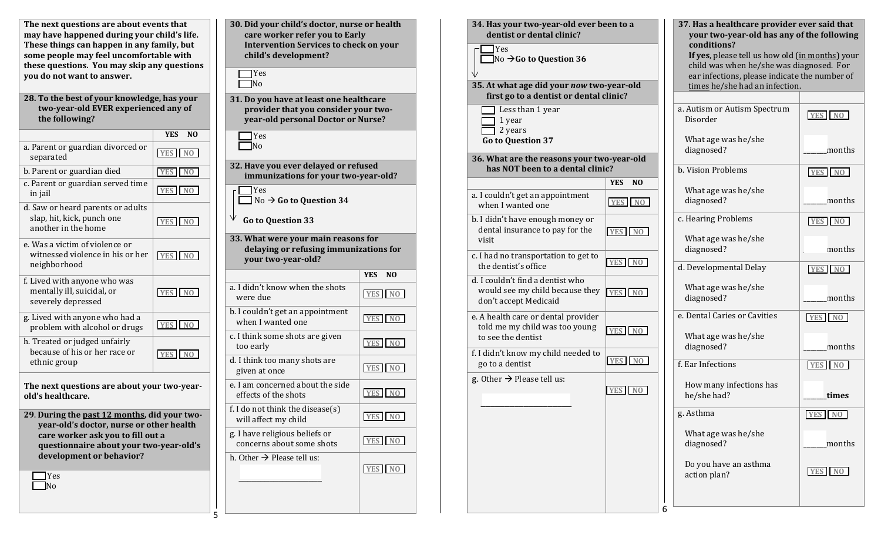| The next questions are about events that    |
|---------------------------------------------|
| may have happened during your child's life. |
| These things can happen in any family, but  |
| some people may feel uncomfortable with     |
| these questions. You may skip any questions |
| you do not want to answer.                  |
|                                             |

| 28. To the best of your knowledge, has your |
|---------------------------------------------|
| two-year-old EVER experienced any of        |
| the following?                              |

|                                                                                        | <b>YES</b><br>N <sub>0</sub> |
|----------------------------------------------------------------------------------------|------------------------------|
| a. Parent or guardian divorced or<br>separated                                         | YES NO                       |
| b. Parent or guardian died                                                             | YES NO                       |
| c. Parent or guardian served time<br>in jail                                           | YES NO                       |
| d. Saw or heard parents or adults<br>slap, hit, kick, punch one<br>another in the home | YES NO                       |
| e. Was a victim of violence or<br>witnessed violence in his or her<br>neighborhood     | YES NO                       |
| f. Lived with anyone who was<br>mentally ill, suicidal, or<br>severely depressed       | YES NO                       |
| g. Lived with anyone who had a<br>problem with alcohol or drugs                        | YES NO                       |
| h. Treated or judged unfairly<br>because of his or her race or<br>ethnic group         | YES NO                       |
| The next questions are about your two-year-                                            |                              |

**old's healthcare. 29**. **During the past 12 months, did your twoyear-old's doctor, nurse or other health care worker ask you to fill out a questionnaire about your two-year-old's** 

5

**development or behavior?**

**T**Yes **No** 

| 30. Did your child's doctor, nurse or health<br>care worker refer you to Early<br><b>Intervention Services to check on your</b><br>child's development? |                       |  |  |  |
|---------------------------------------------------------------------------------------------------------------------------------------------------------|-----------------------|--|--|--|
| $\exists$ Yes<br>$\neg$ No                                                                                                                              |                       |  |  |  |
| 31. Do you have at least one healthcare<br>provider that you consider your two-<br>year-old personal Doctor or Nurse?                                   |                       |  |  |  |
| 7 Yes<br>$\neg$ No                                                                                                                                      |                       |  |  |  |
| 32. Have you ever delayed or refused<br>immunizations for your two-year-old?                                                                            |                       |  |  |  |
| $\sqcap$ Yes<br>No $\rightarrow$ Go to Question 34                                                                                                      |                       |  |  |  |
| <b>Go to Question 33</b>                                                                                                                                |                       |  |  |  |
| 33. What were your main reasons for<br>delaying or refusing immunizations for<br>your two-year-old?                                                     |                       |  |  |  |
|                                                                                                                                                         | YES<br>N <sub>0</sub> |  |  |  |
| a. I didn't know when the shots<br>were due                                                                                                             | YES NO                |  |  |  |
| b. I couldn't get an appointment<br>when I wanted one                                                                                                   | YES NO                |  |  |  |
| c. I think some shots are given<br>too early                                                                                                            | YES NO                |  |  |  |
| d. I think too many shots are<br>given at once                                                                                                          | YES NO                |  |  |  |
| e. I am concerned about the side<br>effects of the shots                                                                                                |                       |  |  |  |
|                                                                                                                                                         | YES NO                |  |  |  |
| f. I do not think the disease(s)<br>will affect my child                                                                                                | YES NO                |  |  |  |
| g. I have religious beliefs or<br>concerns about some shots                                                                                             | YES NO                |  |  |  |
| h. Other $\rightarrow$ Please tell us:                                                                                                                  | YES NO                |  |  |  |

| 34. Has your two-year-old ever been to a<br>dentist or dental clinic?<br>Yes<br>$\exists$ No $\rightarrow$ Go to Question 36 |                                        | 37. Has a healthcare provider ever said that<br>your two-year-old has any of the following<br>conditions?<br>If yes, please tell us how old (in months) your |                                                                                           |  |  |
|------------------------------------------------------------------------------------------------------------------------------|----------------------------------------|--------------------------------------------------------------------------------------------------------------------------------------------------------------|-------------------------------------------------------------------------------------------|--|--|
| 35. At what age did your now two-year-old                                                                                    |                                        | times he/she had an infection.                                                                                                                               | child was when he/she was diagnosed. For<br>ear infections, please indicate the number of |  |  |
| first go to a dentist or dental clinic?                                                                                      |                                        |                                                                                                                                                              |                                                                                           |  |  |
| Less than 1 year<br>1 year<br>2 years<br><b>Go to Question 37</b>                                                            |                                        | a. Autism or Autism Spectrum<br>Disorder<br>What age was he/she                                                                                              | YES NO                                                                                    |  |  |
| 36. What are the reasons your two-year-old                                                                                   |                                        | diagnosed?                                                                                                                                                   | months                                                                                    |  |  |
| has NOT been to a dental clinic?                                                                                             |                                        | b. Vision Problems                                                                                                                                           | YES NO                                                                                    |  |  |
| a. I couldn't get an appointment<br>when I wanted one                                                                        | <b>YES</b><br>N <sub>0</sub><br>YES NO | What age was he/she<br>diagnosed?                                                                                                                            | months                                                                                    |  |  |
| b. I didn't have enough money or<br>dental insurance to pay for the                                                          | <b>YES</b><br>N <sub>O</sub>           | c. Hearing Problems                                                                                                                                          | YES NO                                                                                    |  |  |
| visit<br>c. I had no transportation to get to<br>the dentist's office                                                        | N <sub>O</sub><br><b>YES</b>           | What age was he/she<br>diagnosed?                                                                                                                            | months                                                                                    |  |  |
| d. I couldn't find a dentist who<br>would see my child because they<br>don't accept Medicaid                                 | <b>YES</b><br>NO                       | d. Developmental Delay<br>What age was he/she<br>diagnosed?                                                                                                  | YES NO<br>months                                                                          |  |  |
| e. A health care or dental provider<br>told me my child was too young<br>to see the dentist                                  | N <sub>O</sub><br>YES I                | e. Dental Caries or Cavities<br>What age was he/she                                                                                                          | YES NO                                                                                    |  |  |
| f. I didn't know my child needed to<br>go to a dentist                                                                       | <b>YES</b><br>N <sub>0</sub>           | diagnosed?<br>f. Ear Infections                                                                                                                              | months<br>YES NO                                                                          |  |  |
| g. Other $\rightarrow$ Please tell us:                                                                                       | YES NO                                 | How many infections has<br>he/she had?                                                                                                                       | times                                                                                     |  |  |
|                                                                                                                              |                                        | g. Asthma                                                                                                                                                    | YES NO                                                                                    |  |  |
|                                                                                                                              |                                        | What age was he/she<br>diagnosed?                                                                                                                            | months                                                                                    |  |  |
|                                                                                                                              |                                        | Do you have an asthma<br>action plan?                                                                                                                        | YES NO                                                                                    |  |  |
|                                                                                                                              |                                        | 6                                                                                                                                                            |                                                                                           |  |  |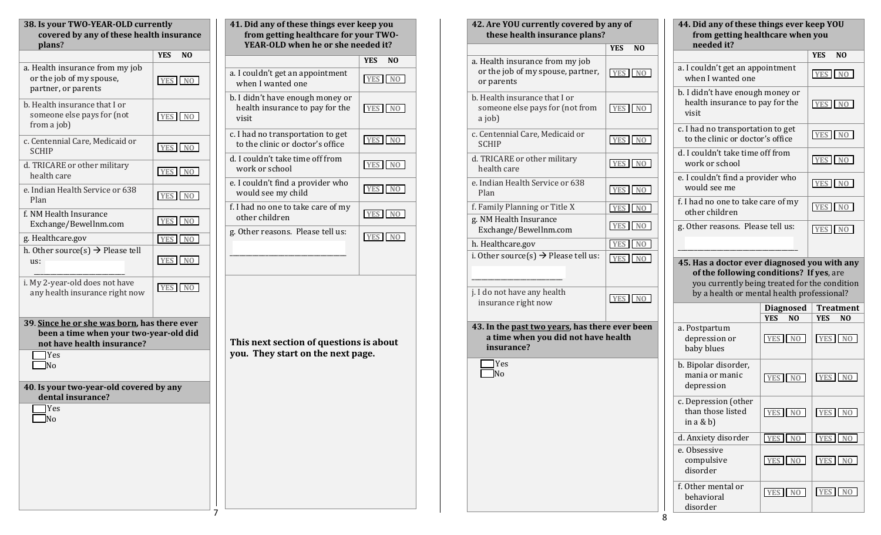| <b>YES</b><br>N <sub>0</sub> |                                                                                                                                   | 41. Did any of these things ever keep you<br>from getting healthcare for your TWO<br>YEAR-OLD when he or she needed it? |  |
|------------------------------|-----------------------------------------------------------------------------------------------------------------------------------|-------------------------------------------------------------------------------------------------------------------------|--|
|                              |                                                                                                                                   | N(<br><b>YES</b>                                                                                                        |  |
| N <sub>O</sub><br><b>YES</b> | a. I couldn't get an appointment<br>when I wanted one                                                                             | YES N                                                                                                                   |  |
| YES NO                       | health insurance to pay for the<br>visit                                                                                          | YES N                                                                                                                   |  |
| YES NO                       | c. I had no transportation to get<br>to the clinic or doctor's office                                                             | YES N                                                                                                                   |  |
| YES NO                       | d. I couldn't take time off from<br>work or school                                                                                | YES N                                                                                                                   |  |
| YES NO                       | e. I couldn't find a provider who<br>would see my child                                                                           | YES N                                                                                                                   |  |
| <b>YES</b><br>N <sub>0</sub> | f. I had no one to take care of my<br>other children                                                                              | YES N                                                                                                                   |  |
| N <sub>O</sub><br><b>YES</b> | g. Other reasons. Please tell us:                                                                                                 | YES N                                                                                                                   |  |
| YES NO                       |                                                                                                                                   |                                                                                                                         |  |
| YES NO                       |                                                                                                                                   |                                                                                                                         |  |
|                              | This next section of questions is abou<br>you. They start on the next page.                                                       |                                                                                                                         |  |
|                              | 39. Since he or she was born, has there ever<br>been a time when your two-year-old did<br>40. Is your two-year-old covered by any | b. I didn't have enough money or                                                                                        |  |

| Did any of these things ever keep you<br>from getting healthcare for your TWO- |                              |
|--------------------------------------------------------------------------------|------------------------------|
| YEAR-OLD when he or she needed it?                                             |                              |
|                                                                                | <b>YES</b><br>N <sub>O</sub> |
| couldn't get an appointment<br>hen I wanted one                                | YES NO                       |
| didn't have enough money or<br>alth insurance to pay for the                   | YES NO                       |
| ad no transportation to get<br>the clinic or doctor's office                   | YES NO                       |
| couldn't take time off from<br>ork or school                                   | YES NO                       |
| couldn't find a provider who<br>ould see my child                              | YES NO                       |
| ad no one to take care of my<br>her children                                   | YES NO                       |
| ther reasons. Please tell us:                                                  |                              |
|                                                                                | YES NO                       |
|                                                                                |                              |
|                                                                                |                              |
| s next section of questions is about<br>. They start on the next page.         |                              |
|                                                                                |                              |
|                                                                                |                              |
|                                                                                |                              |
|                                                                                |                              |
|                                                                                |                              |
|                                                                                |                              |
|                                                                                |                              |

| 44. Did any of these things ever keep YOU<br>from getting healthcare when you<br>needed it?                                               |                       |                                    |  |  |
|-------------------------------------------------------------------------------------------------------------------------------------------|-----------------------|------------------------------------|--|--|
|                                                                                                                                           |                       | <b>YES</b><br>N <sub>0</sub>       |  |  |
| a. I couldn't get an appointment<br>when I wanted one                                                                                     |                       | YES NO                             |  |  |
| b. I didn't have enough money or<br>health insurance to pay for the<br>visit                                                              |                       | YES NO                             |  |  |
| c. I had no transportation to get<br>to the clinic or doctor's office                                                                     |                       | YES NO                             |  |  |
| d. I couldn't take time off from<br>work or school                                                                                        |                       | YES <sup>I</sup><br>N <sub>O</sub> |  |  |
| e. I couldn't find a provider who<br>would see me                                                                                         |                       | YES NO                             |  |  |
| f. I had no one to take care of my<br>other children                                                                                      |                       | YES NO                             |  |  |
| g. Other reasons. Please tell us:                                                                                                         |                       | YES NO                             |  |  |
| 45. Has a doctor ever diagnosed you with any<br>of the following conditions? If yes, are<br>you currently being treated for the condition |                       |                                    |  |  |
| by a health or mental health professional?                                                                                                | <b>Diagnosed</b>      | <b>Treatment</b>                   |  |  |
|                                                                                                                                           | N <sub>0</sub><br>YES | NO<br>YES                          |  |  |
| a. Postpartum<br>depression or<br>baby blues                                                                                              | YES NO                | YES NO                             |  |  |
| b. Bipolar disorder,<br>mania or manic<br>depression                                                                                      | YES NO                | <b>YES</b><br>N <sub>0</sub>       |  |  |
| c. Depression (other<br>than those listed<br>in $a \& b$ )                                                                                | YES NO                | YES NO                             |  |  |
| d. Anxiety disorder                                                                                                                       | YES NO                | YES NO                             |  |  |
| e. Obsessive<br>compulsive<br>disorder                                                                                                    | YES NO                | YES NO                             |  |  |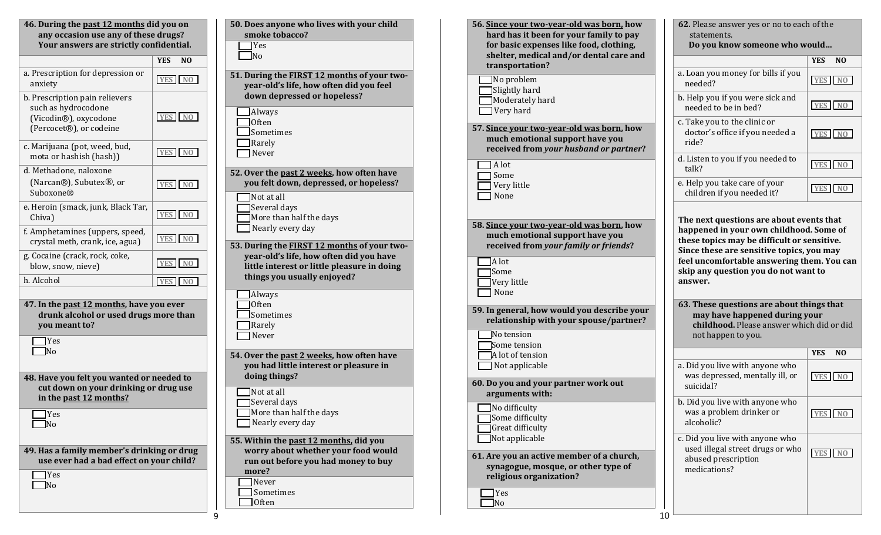| 46. During the past 12 months did you on<br>any occasion use any of these drugs?<br>Your answers are strictly confidential.                                                                                                      | 50. Does anyone who lives with your child<br>smoke tobacco?<br>$\blacksquare$ Yes<br>$\neg$ No                                                                                                                                                                             | 56. Since your two-year-old was born, how<br>hard has it been for your family to pay<br>for basic expenses like food, clothing,<br>shelter, medical and/or dental care and  | 62. Please answer yes or no to each of the<br>statements.<br>Do you know someone who would                                                                                                                                                                                       |        |
|----------------------------------------------------------------------------------------------------------------------------------------------------------------------------------------------------------------------------------|----------------------------------------------------------------------------------------------------------------------------------------------------------------------------------------------------------------------------------------------------------------------------|-----------------------------------------------------------------------------------------------------------------------------------------------------------------------------|----------------------------------------------------------------------------------------------------------------------------------------------------------------------------------------------------------------------------------------------------------------------------------|--------|
| YES NO                                                                                                                                                                                                                           |                                                                                                                                                                                                                                                                            | transportation?                                                                                                                                                             |                                                                                                                                                                                                                                                                                  | YES NO |
| a. Prescription for depression or<br>YES NO<br>anxiety                                                                                                                                                                           | 51. During the FIRST 12 months of your two-<br>year-old's life, how often did you feel                                                                                                                                                                                     | $\Box$ No problem<br>Slightly hard                                                                                                                                          | a. Loan you money for bills if you<br>needed?                                                                                                                                                                                                                                    | YES NO |
| b. Prescription pain relievers<br>such as hydrocodone                                                                                                                                                                            | down depressed or hopeless?<br>$\Box$ Always                                                                                                                                                                                                                               | $\Box$ Moderately hard<br>$\blacksquare$ Very hard                                                                                                                          | b. Help you if you were sick and<br>needed to be in bed?                                                                                                                                                                                                                         | YES NO |
| YES NO<br>(Vicodin®), oxycodone<br>(Percocet®), or codeine<br>c. Marijuana (pot, weed, bud,                                                                                                                                      | $\Box$ Often<br>$\Box$ Sometimes<br>$\Box$ Rarely                                                                                                                                                                                                                          | 57. Since your two-year-old was born, how<br>much emotional support have you<br>received from your husband or partner?                                                      | c. Take you to the clinic or<br>doctor's office if you needed a<br>ride?                                                                                                                                                                                                         | YES NO |
| YES NO<br>mota or hashish (hash))<br>d. Methadone, naloxone                                                                                                                                                                      | Never<br>52. Over the past 2 weeks, how often have                                                                                                                                                                                                                         | $\Box$ A lot                                                                                                                                                                | d. Listen to you if you needed to<br>talk?                                                                                                                                                                                                                                       | YES NO |
| (Narcan®), Subutex <sup>®</sup> , or<br>YES NO<br>Suboxone®                                                                                                                                                                      | you felt down, depressed, or hopeless?<br>$\Box$ Not at all                                                                                                                                                                                                                | Some<br>$\Box$ Very little<br><b>□</b> None                                                                                                                                 | e. Help you take care of your<br>children if you needed it?                                                                                                                                                                                                                      | YES NO |
| e. Heroin (smack, junk, Black Tar,<br>YES NO<br>Chiva)<br>f. Amphetamines (uppers, speed,<br>YES NO<br>crystal meth, crank, ice, agua)<br>g. Cocaine (crack, rock, coke,<br>YES NO<br>blow, snow, nieve)<br>h. Alcohol<br>YES NO | Several days<br>More than half the days<br>$\blacksquare$ Nearly every day<br>53. During the <b>FIRST 12 months</b> of your two-<br>year-old's life, how often did you have<br>little interest or little pleasure in doing<br>things you usually enjoyed?<br>$\Box$ Always | 58. Since your two-year-old was born, how<br>much emotional support have you<br>received from your family or friends?<br>$\Box$ A lot<br>Some<br>Very little<br>$\Box$ None | The next questions are about events that<br>happened in your own childhood. Some of<br>these topics may be difficult or sensitive.<br>Since these are sensitive topics, you may<br>feel uncomfortable answering them. You can<br>skip any question you do not want to<br>answer. |        |
| 47. In the past 12 months, have you ever<br>drunk alcohol or used drugs more than<br>you meant to?<br>$\blacksquare$ Yes                                                                                                         | $\Box$ Often<br>$\Box$ Sometimes<br>Rarely<br>$\Box$ Never                                                                                                                                                                                                                 | 59. In general, how would you describe your<br>relationship with your spouse/partner?<br>No tension<br>Some tension                                                         | 63. These questions are about things that<br>may have happened during your<br>childhood. Please answer which did or did<br>not happen to you.                                                                                                                                    |        |
| $\n  No$                                                                                                                                                                                                                         | 54. Over the past 2 weeks, how often have                                                                                                                                                                                                                                  | A lot of tension                                                                                                                                                            |                                                                                                                                                                                                                                                                                  | YES NO |
| 48. Have you felt you wanted or needed to<br>cut down on your drinking or drug use                                                                                                                                               | you had little interest or pleasure in<br>doing things?<br>$\Box$ Not at all                                                                                                                                                                                               | $\Box$ Not applicable<br>60. Do you and your partner work out<br>arguments with:                                                                                            | a. Did you live with anyone who<br>was depressed, mentally ill, or<br>suicidal?                                                                                                                                                                                                  | YES NO |
| in the past 12 months?<br>$\Box$ Yes<br>$\n  No\n$                                                                                                                                                                               | Several days<br>More than half the days<br>Nearly every day                                                                                                                                                                                                                | $\Box$ No difficulty<br>Some difficulty<br>Great difficulty                                                                                                                 | b. Did you live with anyone who<br>was a problem drinker or<br>alcoholic?                                                                                                                                                                                                        | YES NO |
| 49. Has a family member's drinking or drug<br>use ever had a bad effect on your child?<br>$\Box$ Yes<br>$\Box$ No                                                                                                                | 55. Within the past 12 months, did you<br>worry about whether your food would<br>run out before you had money to buy<br>more?<br>$\Box$ Never<br>$\Box$ Sometimes<br>$\Box$ Often                                                                                          | $\blacksquare$ Not applicable<br>61. Are you an active member of a church,<br>synagogue, mosque, or other type of<br>religious organization?<br>$\Box$ Yes<br>$\Box$ No     | c. Did you live with anyone who<br>used illegal street drugs or who<br>abused prescription<br>medications?                                                                                                                                                                       | YES NO |

 $10<sup>L</sup>$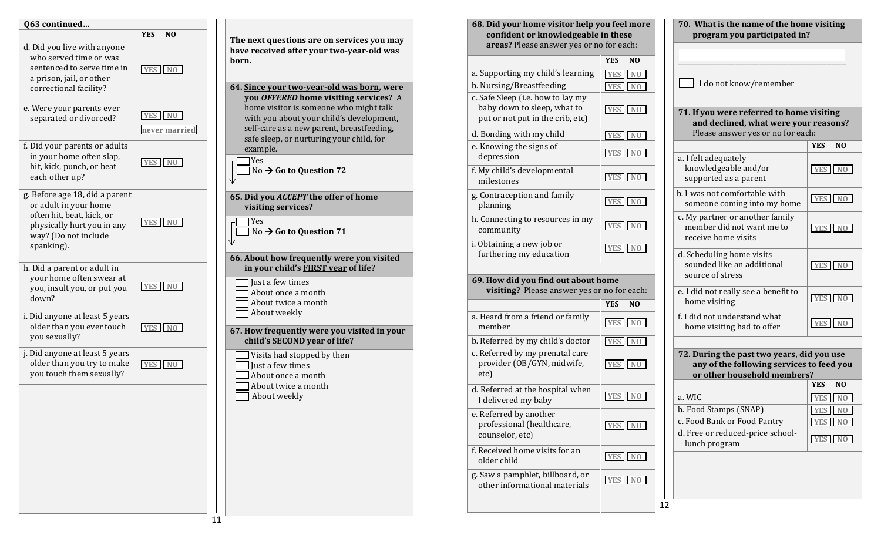

| 68. Did your home visitor help you feel more<br>confident or knowledgeable in these<br>areas? Please answer yes or no for each: |                                    |
|---------------------------------------------------------------------------------------------------------------------------------|------------------------------------|
|                                                                                                                                 | <b>YES</b><br>N <sub>O</sub>       |
| a. Supporting my child's learning                                                                                               | N <sub>O</sub><br><b>YES</b>       |
| b. Nursing/Breastfeeding                                                                                                        | <b>YES</b><br>N <sub>0</sub>       |
| c. Safe Sleep (i.e. how to lay my<br>baby down to sleep, what to<br>put or not put in the crib, etc)                            | <b>YES</b><br>N <sub>0</sub>       |
| d. Bonding with my child                                                                                                        | <b>YES</b><br>N <sub>0</sub>       |
| e. Knowing the signs of<br>depression                                                                                           | <b>YES</b><br>N <sub>0</sub>       |
| f. My child's developmental<br>milestones                                                                                       | <b>YES</b><br>N <sub>0</sub>       |
| g. Contraception and family<br>planning                                                                                         | YES <sup>1</sup><br>N <sub>0</sub> |
| h. Connecting to resources in my<br>community                                                                                   | <b>YES</b><br>N <sub>0</sub>       |
| i. Obtaining a new job or<br>furthering my education                                                                            | YES <sup>I</sup><br>N <sub>0</sub> |
| 69. How did you find out about home<br>visiting? Please answer yes or no for each:                                              |                                    |
|                                                                                                                                 | YES<br>N <sub>0</sub>              |
| a. Heard from a friend or family<br>member                                                                                      | N <sub>0</sub><br>YES              |
| b. Referred by my child's doctor                                                                                                | <b>YES</b>                         |
| c. Referred by my prenatal care<br>provider (OB/GYN, midwife,<br>etc)                                                           | <b>YES</b><br>N <sub>0</sub>       |
| d. Referred at the hospital when<br>I delivered my baby                                                                         | <b>YES</b><br>NΟ                   |
| e. Referred by another<br>professional (healthcare,<br>counselor, etc)                                                          | YES NO                             |
| f. Received home visits for an<br>older child                                                                                   | YES NO                             |
| g. Saw a pamphlet, billboard, or<br>other informational materials                                                               | YES II<br>N <sub>0</sub>           |

**70. What is the name of the home visiting program you participated in?** \_\_\_\_\_\_\_\_\_\_\_\_\_\_\_\_\_\_\_\_\_\_\_\_\_\_\_\_\_\_\_\_\_\_\_ I do not know/remember **71. If you were referred to home visiting and declined, what were your reasons?** Please answer yes or no for each: **YES NO** a. I felt adequately knowledgeable and/or supported as a parent b. I was not comfortable with someone coming into my home c. My partner or another family member did not want me to receive home visits d. Scheduling home visits sounded like an additional source of stress e. I did not really see a benefit to home visiting f. I did not understand what home visiting had to offer **72. During the past two years, did you use any of the following services to feed you or other household members? YES NO** a. WIC b. Food Stamps (SNAP) c. Food Bank or Food Pantry d. Free or reduced-price schoollunch program **YES NO YES NO YES NO YES NO YES NO YES NO YES NO YES NO YES NO YES NO**

12